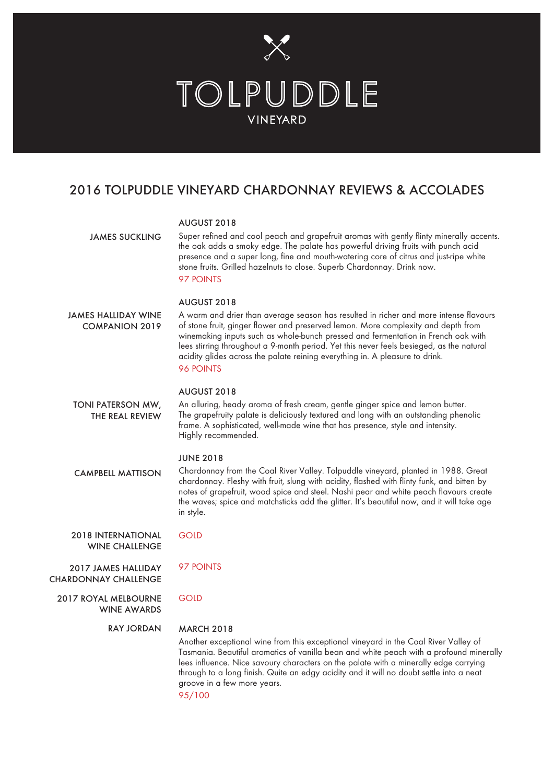

## 2016 TOLPUDDLE VINEYARD CHARDONNAY REVIEWS & ACCOLADES

|                                                    | AUGUST 2018                                                                                                                                                                                                                                                                                                                                                                                                                                                                    |
|----------------------------------------------------|--------------------------------------------------------------------------------------------------------------------------------------------------------------------------------------------------------------------------------------------------------------------------------------------------------------------------------------------------------------------------------------------------------------------------------------------------------------------------------|
| <b>JAMES SUCKLING</b>                              | Super refined and cool peach and grapefruit aromas with gently flinty minerally accents.<br>the oak adds a smoky edge. The palate has powerful driving fruits with punch acid<br>presence and a super long, fine and mouth-watering core of citrus and just-ripe white<br>stone fruits. Grilled hazelnuts to close. Superb Chardonnay. Drink now.<br>97 POINTS                                                                                                                 |
| JAMES HALLIDAY WINE<br><b>COMPANION 2019</b>       | <b>AUGUST 2018</b><br>A warm and drier than average season has resulted in richer and more intense flavours<br>of stone fruit, ginger flower and preserved lemon. More complexity and depth from<br>winemaking inputs such as whole-bunch pressed and fermentation in French oak with<br>lees stirring throughout a 9-month period. Yet this never feels besieged, as the natural<br>acidity glides across the palate reining everything in. A pleasure to drink.<br>96 POINTS |
| TONI PATERSON MW,<br>THE REAL REVIEW               | <b>AUGUST 2018</b><br>An alluring, heady aroma of fresh cream, gentle ginger spice and lemon butter.<br>The grapefruity palate is deliciously textured and long with an outstanding phenolic<br>frame. A sophisticated, well-made wine that has presence, style and intensity.<br>Highly recommended.                                                                                                                                                                          |
| <b>CAMPBELL MATTISON</b>                           | <b>JUNE 2018</b><br>Chardonnay from the Coal River Valley. Tolpuddle vineyard, planted in 1988. Great<br>chardonnay. Fleshy with fruit, slung with acidity, flashed with flinty funk, and bitten by<br>notes of grapefruit, wood spice and steel. Nashi pear and white peach flavours create<br>the waves; spice and matchsticks add the glitter. It's beautiful now, and it will take age<br>in style.                                                                        |
| <b>2018 INTERNATIONAL</b><br><b>WINE CHALLENGE</b> | <b>GOLD</b>                                                                                                                                                                                                                                                                                                                                                                                                                                                                    |
| 2017 JAMES HALLIDAY<br><b>CHARDONNAY CHALLENGE</b> | 97 POINTS                                                                                                                                                                                                                                                                                                                                                                                                                                                                      |
| <b>2017 ROYAL MELBOURNE</b><br><b>WINE AWARDS</b>  | <b>GOLD</b>                                                                                                                                                                                                                                                                                                                                                                                                                                                                    |
| <b>RAY JORDAN</b>                                  | <b>MARCH 2018</b><br>Another exceptional wine from this exceptional vineyard in the Coal River Valley of<br>Tasmania. Beautiful aromatics of vanilla bean and white peach with a profound minerally<br>lees influence. Nice savoury characters on the palate with a minerally edge carrying<br>through to a long finish. Quite an edgy acidity and it will no doubt settle into a neat<br>groove in a few more years.<br>95/100                                                |